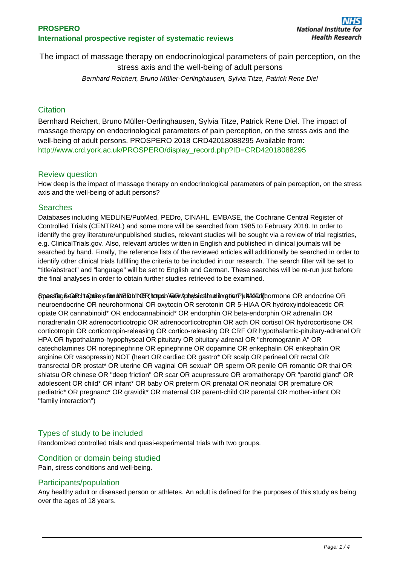## **PROSPERO International prospective register of systematic reviews**

The impact of massage therapy on endocrinological parameters of pain perception, on the stress axis and the well-being of adult persons Bernhard Reichert, Bruno Müller-Oerlinghausen, Sylvia Titze, Patrick Rene Diel

## **Citation**

Bernhard Reichert, Bruno Müller-Oerlinghausen, Sylvia Titze, Patrick Rene Diel. The impact of massage therapy on endocrinological parameters of pain perception, on the stress axis and the well-being of adult persons. PROSPERO 2018 CRD42018088295 Available from: [http://www.crd.york.ac.uk/PROSPERO/display\\_record.php?ID=CRD42018088295](http://www.crd.york.ac.uk/PROSPERO/display_record.php?ID=CRD42018088295)

### Review question

How deep is the impact of massage therapy on endocrinological parameters of pain perception, on the stress axis and the well-being of adult persons?

### **Searches**

Databases including MEDLINE/PubMed, PEDro, CINAHL, EMBASE, the Cochrane Central Register of Controlled Trials (CENTRAL) and some more will be searched from 1985 to February 2018. In order to identify the grey literature/unpublished studies, relevant studies will be sought via a review of trial registries, e.g. ClinicalTrials.gov. Also, relevant articles written in English and published in clinical journals will be searched by hand. Finally, the reference lists of the reviewed articles will additionally be searched in order to identify other clinical trials fulfilling the criteria to be included in our research. The search filter will be set to "title/abstract" and "language" will be set to English and German. These searches will be re-run just before the final analyses in order to obtain further studies retrieved to be examined.

Specific Search Autrice Stimulation INETO https://www.whingstigatmediax.gov/PubMed(hormone OR endocrine OR neuroendocrine OR neurohormonal OR oxytocin OR serotonin OR 5-HIAA OR hydroxyindoleacetic OR opiate OR cannabinoid\* OR endocannabinoid\* OR endorphin OR beta-endorphin OR adrenalin OR noradrenalin OR adrenocorticotropic OR adrenocorticotrophin OR acth OR cortisol OR hydrocortisone OR corticotropin OR corticotropin-releasing OR cortico-releasing OR CRF OR hypothalamic-pituitary-adrenal OR HPA OR hypothalamo-hypophyseal OR pituitary OR pituitary-adrenal OR "chromogranin A" OR catecholamines OR norepinephrine OR epinephrine OR dopamine OR enkephalin OR enkephalin OR arginine OR vasopressin) NOT (heart OR cardiac OR gastro\* OR scalp OR perineal OR rectal OR transrectal OR prostat\* OR uterine OR vaginal OR sexual\* OR sperm OR penile OR romantic OR thai OR shiatsu OR chinese OR "deep friction" OR scar OR acupressure OR aromatherapy OR "parotid gland" OR adolescent OR child\* OR infant\* OR baby OR preterm OR prenatal OR neonatal OR premature OR pediatric\* OR pregnanc\* OR gravidit\* OR maternal OR parent-child OR parental OR mother-infant OR "family interaction")

## Types of study to be included

Randomized controlled trials and quasi-experimental trials with two groups.

## Condition or domain being studied

Pain, stress conditions and well-being.

### Participants/population

Any healthy adult or diseased person or athletes. An adult is defined for the purposes of this study as being over the ages of 18 years.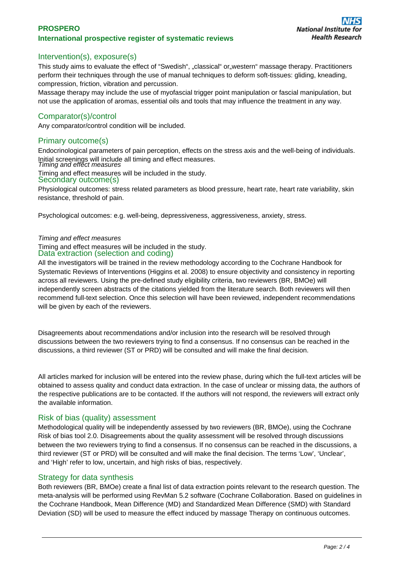## **PROSPERO International prospective register of systematic reviews**

## Intervention(s), exposure(s)

This study aims to evaluate the effect of "Swedish", ..classical" or western" massage therapy. Practitioners perform their techniques through the use of manual techniques to deform soft-tissues: gliding, kneading, compression, friction, vibration and percussion.

Massage therapy may include the use of myofascial trigger point manipulation or fascial manipulation, but not use the application of aromas, essential oils and tools that may influence the treatment in any way.

## Comparator(s)/control

Any comparator/control condition will be included.

### Primary outcome(s)

Endocrinological parameters of pain perception, effects on the stress axis and the well-being of individuals. Initial screenings will include all timing and effect measures. Timing and effect measures

Timing and effect measures will be included in the study.

#### Secondary outcome(s)

Physiological outcomes: stress related parameters as blood pressure, heart rate, heart rate variability, skin resistance, threshold of pain.

Psychological outcomes: e.g. well-being, depressiveness, aggressiveness, anxiety, stress.

#### Timing and effect measures

Timing and effect measures will be included in the study. Data extraction (selection and coding)

All the investigators will be trained in the review methodology according to the Cochrane Handbook for Systematic Reviews of Interventions (Higgins et al. 2008) to ensure objectivity and consistency in reporting across all reviewers. Using the pre-defined study eligibility criteria, two reviewers (BR, BMOe) will independently screen abstracts of the citations yielded from the literature search. Both reviewers will then recommend full-text selection. Once this selection will have been reviewed, independent recommendations will be given by each of the reviewers.

Disagreements about recommendations and/or inclusion into the research will be resolved through discussions between the two reviewers trying to find a consensus. If no consensus can be reached in the discussions, a third reviewer (ST or PRD) will be consulted and will make the final decision.

All articles marked for inclusion will be entered into the review phase, during which the full-text articles will be obtained to assess quality and conduct data extraction. In the case of unclear or missing data, the authors of the respective publications are to be contacted. If the authors will not respond, the reviewers will extract only the available information.

### Risk of bias (quality) assessment

Methodological quality will be independently assessed by two reviewers (BR, BMOe), using the Cochrane Risk of bias tool 2.0. Disagreements about the quality assessment will be resolved through discussions between the two reviewers trying to find a consensus. If no consensus can be reached in the discussions, a third reviewer (ST or PRD) will be consulted and will make the final decision. The terms 'Low', 'Unclear', and 'High' refer to low, uncertain, and high risks of bias, respectively.

## Strategy for data synthesis

Both reviewers (BR, BMOe) create a final list of data extraction points relevant to the research question. The meta-analysis will be performed using RevMan 5.2 software (Cochrane Collaboration. Based on guidelines in the Cochrane Handbook, Mean Difference (MD) and Standardized Mean Difference (SMD) with Standard Deviation (SD) will be used to measure the effect induced by massage Therapy on continuous outcomes.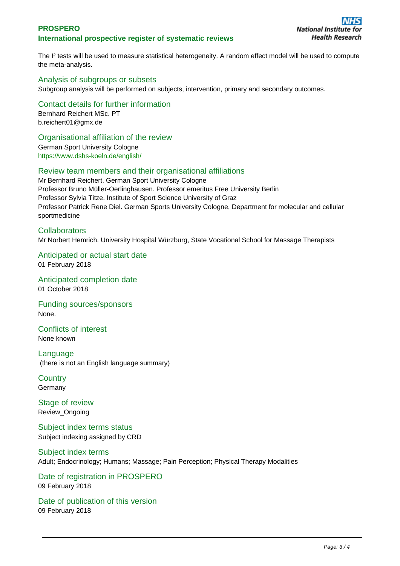## **PROSPERO International prospective register of systematic reviews**

The I<sup>2</sup> tests will be used to measure statistical heterogeneity. A random effect model will be used to compute the meta-analysis.

## Analysis of subgroups or subsets

Subgroup analysis will be performed on subjects, intervention, primary and secondary outcomes.

Contact details for further information Bernhard Reichert MSc. PT b.reichert01@gmx.de

### Organisational affiliation of the review

German Sport University Cologne <https://www.dshs-koeln.de/english/>

### Review team members and their organisational affiliations

Mr Bernhard Reichert. German Sport University Cologne Professor Bruno Müller-Oerlinghausen. Professor emeritus Free University Berlin Professor Sylvia Titze. Institute of Sport Science University of Graz Professor Patrick Rene Diel. German Sports University Cologne, Department for molecular and cellular sportmedicine

# **Collaborators** Mr Norbert Hemrich. University Hospital Würzburg, State Vocational School for Massage Therapists

Anticipated or actual start date 01 February 2018

Anticipated completion date 01 October 2018

Funding sources/sponsors None.

Conflicts of interest None known

Language (there is not an English language summary)

**Country** Germany

Stage of review Review\_Ongoing

Subject index terms status Subject indexing assigned by CRD

Subject index terms Adult; Endocrinology; Humans; Massage; Pain Perception; Physical Therapy Modalities

Date of registration in PROSPERO 09 February 2018

Date of publication of this version 09 February 2018